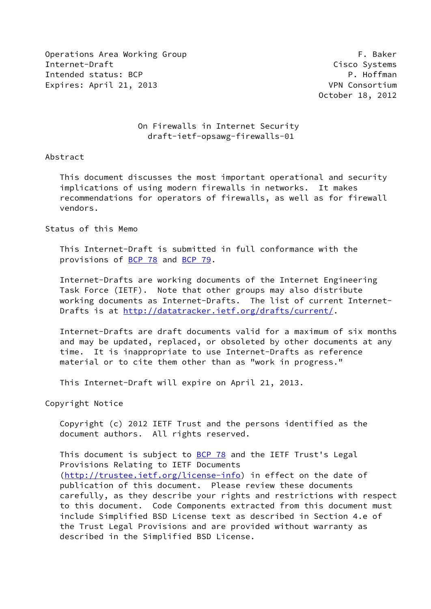Operations Area Working Group **F. Baker** Internet-Draft Cisco Systems Intended status: BCP P. Hoffman Expires: April 21, 2013 VPN Consortium

October 18, 2012

## On Firewalls in Internet Security draft-ietf-opsawg-firewalls-01

### Abstract

 This document discusses the most important operational and security implications of using modern firewalls in networks. It makes recommendations for operators of firewalls, as well as for firewall vendors.

## Status of this Memo

 This Internet-Draft is submitted in full conformance with the provisions of [BCP 78](https://datatracker.ietf.org/doc/pdf/bcp78) and [BCP 79](https://datatracker.ietf.org/doc/pdf/bcp79).

 Internet-Drafts are working documents of the Internet Engineering Task Force (IETF). Note that other groups may also distribute working documents as Internet-Drafts. The list of current Internet- Drafts is at<http://datatracker.ietf.org/drafts/current/>.

 Internet-Drafts are draft documents valid for a maximum of six months and may be updated, replaced, or obsoleted by other documents at any time. It is inappropriate to use Internet-Drafts as reference material or to cite them other than as "work in progress."

This Internet-Draft will expire on April 21, 2013.

Copyright Notice

 Copyright (c) 2012 IETF Trust and the persons identified as the document authors. All rights reserved.

This document is subject to **[BCP 78](https://datatracker.ietf.org/doc/pdf/bcp78)** and the IETF Trust's Legal Provisions Relating to IETF Documents [\(http://trustee.ietf.org/license-info](http://trustee.ietf.org/license-info)) in effect on the date of publication of this document. Please review these documents carefully, as they describe your rights and restrictions with respect to this document. Code Components extracted from this document must include Simplified BSD License text as described in Section 4.e of the Trust Legal Provisions and are provided without warranty as described in the Simplified BSD License.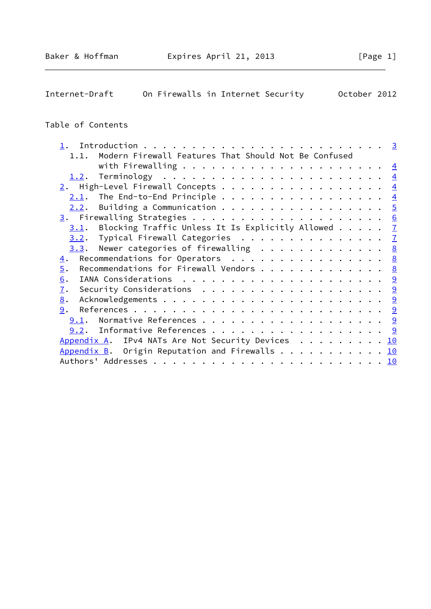# Internet-Draft On Firewalls in Internet Security October 2012

## Table of Contents

| 1.1.             | Modern Firewall Features That Should Not Be Confused                |  |  |  |  |  |  |  |  |
|------------------|---------------------------------------------------------------------|--|--|--|--|--|--|--|--|
|                  |                                                                     |  |  |  |  |  |  |  |  |
|                  |                                                                     |  |  |  |  |  |  |  |  |
|                  | $\underline{2}$ . High-Level Firewall Concepts 4                    |  |  |  |  |  |  |  |  |
| 2.1.             | The End-to-End Principle $\frac{4}{5}$                              |  |  |  |  |  |  |  |  |
| 2.2.             | Building a Communication 5                                          |  |  |  |  |  |  |  |  |
|                  |                                                                     |  |  |  |  |  |  |  |  |
| 3.1.             | Blocking Traffic Unless It Is Explicitly Allowed $\mathbb{Z}$       |  |  |  |  |  |  |  |  |
|                  | 3.2. Typical Firewall Categories 7                                  |  |  |  |  |  |  |  |  |
| 3.3.             | Newer categories of firewalling $\ldots \ldots \ldots \ldots$       |  |  |  |  |  |  |  |  |
| $\overline{4}$ . | Recommendations for Operators $\ldots$ 8                            |  |  |  |  |  |  |  |  |
| $\overline{5}$ . | Recommendations for Firewall Vendors 8                              |  |  |  |  |  |  |  |  |
| 6.               |                                                                     |  |  |  |  |  |  |  |  |
| $\mathbf{I}$ .   | Security Considerations $\ldots \ldots \ldots \ldots \ldots \ldots$ |  |  |  |  |  |  |  |  |
| 8.               |                                                                     |  |  |  |  |  |  |  |  |
| 9.               |                                                                     |  |  |  |  |  |  |  |  |
| 9.1.             | Normative References 9                                              |  |  |  |  |  |  |  |  |
|                  | $9.2$ . Informative References 9                                    |  |  |  |  |  |  |  |  |
|                  | Appendix A. IPv4 NATs Are Not Security Devices 10                   |  |  |  |  |  |  |  |  |
|                  | Appendix B. Origin Reputation and Firewalls $\ldots$ 10             |  |  |  |  |  |  |  |  |
|                  |                                                                     |  |  |  |  |  |  |  |  |
|                  |                                                                     |  |  |  |  |  |  |  |  |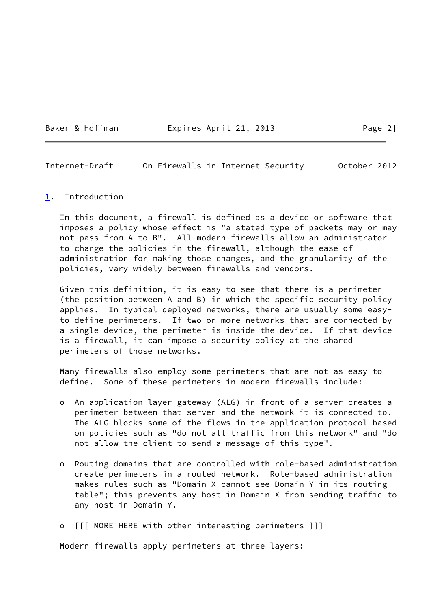Baker & Hoffman **Expires April 21, 2013** [Page 2]

<span id="page-2-1"></span>Internet-Draft On Firewalls in Internet Security October 2012

#### <span id="page-2-0"></span>[1](#page-2-0). Introduction

 In this document, a firewall is defined as a device or software that imposes a policy whose effect is "a stated type of packets may or may not pass from A to B". All modern firewalls allow an administrator to change the policies in the firewall, although the ease of administration for making those changes, and the granularity of the policies, vary widely between firewalls and vendors.

 Given this definition, it is easy to see that there is a perimeter (the position between A and B) in which the specific security policy applies. In typical deployed networks, there are usually some easy to-define perimeters. If two or more networks that are connected by a single device, the perimeter is inside the device. If that device is a firewall, it can impose a security policy at the shared perimeters of those networks.

 Many firewalls also employ some perimeters that are not as easy to define. Some of these perimeters in modern firewalls include:

- o An application-layer gateway (ALG) in front of a server creates a perimeter between that server and the network it is connected to. The ALG blocks some of the flows in the application protocol based on policies such as "do not all traffic from this network" and "do not allow the client to send a message of this type".
- o Routing domains that are controlled with role-based administration create perimeters in a routed network. Role-based administration makes rules such as "Domain X cannot see Domain Y in its routing table"; this prevents any host in Domain X from sending traffic to any host in Domain Y.
- o [[[ MORE HERE with other interesting perimeters ]]]

Modern firewalls apply perimeters at three layers: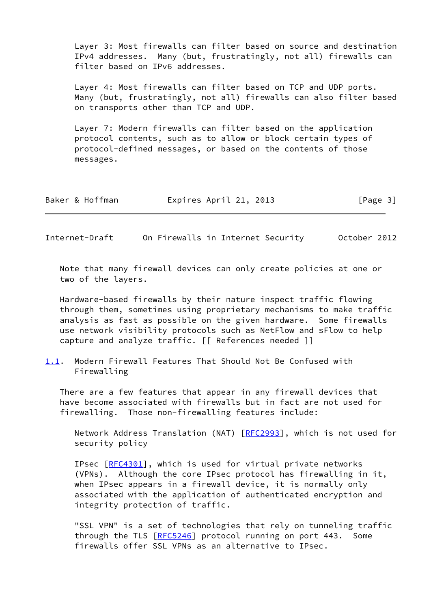Layer 3: Most firewalls can filter based on source and destination IPv4 addresses. Many (but, frustratingly, not all) firewalls can filter based on IPv6 addresses.

 Layer 4: Most firewalls can filter based on TCP and UDP ports. Many (but, frustratingly, not all) firewalls can also filter based on transports other than TCP and UDP.

 Layer 7: Modern firewalls can filter based on the application protocol contents, such as to allow or block certain types of protocol-defined messages, or based on the contents of those messages.

| Baker & Hoffman | Expires April 21, 2013 | [Page 3] |
|-----------------|------------------------|----------|
|-----------------|------------------------|----------|

<span id="page-3-0"></span>Internet-Draft On Firewalls in Internet Security October 2012

 Note that many firewall devices can only create policies at one or two of the layers.

 Hardware-based firewalls by their nature inspect traffic flowing through them, sometimes using proprietary mechanisms to make traffic analysis as fast as possible on the given hardware. Some firewalls use network visibility protocols such as NetFlow and sFlow to help capture and analyze traffic. [[ References needed ]]

<span id="page-3-1"></span>[1.1](#page-3-1). Modern Firewall Features That Should Not Be Confused with Firewalling

 There are a few features that appear in any firewall devices that have become associated with firewalls but in fact are not used for firewalling. Those non-firewalling features include:

Network Address Translation (NAT) [\[RFC2993](https://datatracker.ietf.org/doc/pdf/rfc2993)], which is not used for security policy

IPsec [\[RFC4301](https://datatracker.ietf.org/doc/pdf/rfc4301)], which is used for virtual private networks (VPNs). Although the core IPsec protocol has firewalling in it, when IPsec appears in a firewall device, it is normally only associated with the application of authenticated encryption and integrity protection of traffic.

 "SSL VPN" is a set of technologies that rely on tunneling traffic through the TLS [[RFC5246\]](https://datatracker.ietf.org/doc/pdf/rfc5246) protocol running on port 443. Some firewalls offer SSL VPNs as an alternative to IPsec.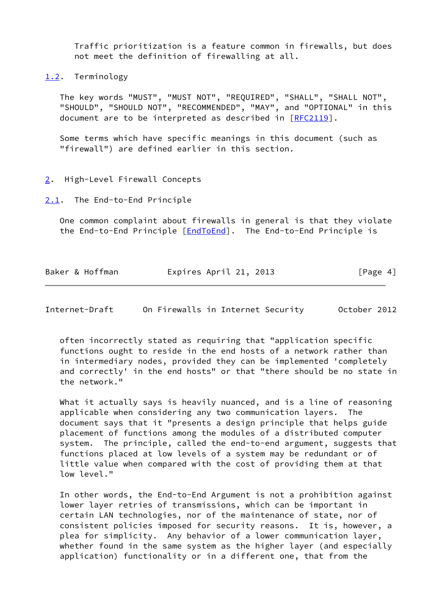Traffic prioritization is a feature common in firewalls, but does not meet the definition of firewalling at all.

<span id="page-4-0"></span>[1.2](#page-4-0). Terminology

 The key words "MUST", "MUST NOT", "REQUIRED", "SHALL", "SHALL NOT", "SHOULD", "SHOULD NOT", "RECOMMENDED", "MAY", and "OPTIONAL" in this document are to be interpreted as described in [\[RFC2119](https://datatracker.ietf.org/doc/pdf/rfc2119)].

 Some terms which have specific meanings in this document (such as "firewall") are defined earlier in this section.

#### <span id="page-4-1"></span>[2](#page-4-1). High-Level Firewall Concepts

<span id="page-4-2"></span>[2.1](#page-4-2). The End-to-End Principle

 One common complaint about firewalls in general is that they violate the End-to-End Principle [\[EndToEnd](#page-9-7)]. The End-to-End Principle is

| Baker & Hoffman | Expires April 21, 2013 | [Page 4] |
|-----------------|------------------------|----------|
|-----------------|------------------------|----------|

<span id="page-4-3"></span>Internet-Draft On Firewalls in Internet Security October 2012

 often incorrectly stated as requiring that "application specific functions ought to reside in the end hosts of a network rather than in intermediary nodes, provided they can be implemented 'completely and correctly' in the end hosts" or that "there should be no state in the network."

What it actually says is heavily nuanced, and is a line of reasoning applicable when considering any two communication layers. The document says that it "presents a design principle that helps guide placement of functions among the modules of a distributed computer system. The principle, called the end-to-end argument, suggests that functions placed at low levels of a system may be redundant or of little value when compared with the cost of providing them at that low level."

 In other words, the End-to-End Argument is not a prohibition against lower layer retries of transmissions, which can be important in certain LAN technologies, nor of the maintenance of state, nor of consistent policies imposed for security reasons. It is, however, a plea for simplicity. Any behavior of a lower communication layer, whether found in the same system as the higher layer (and especially application) functionality or in a different one, that from the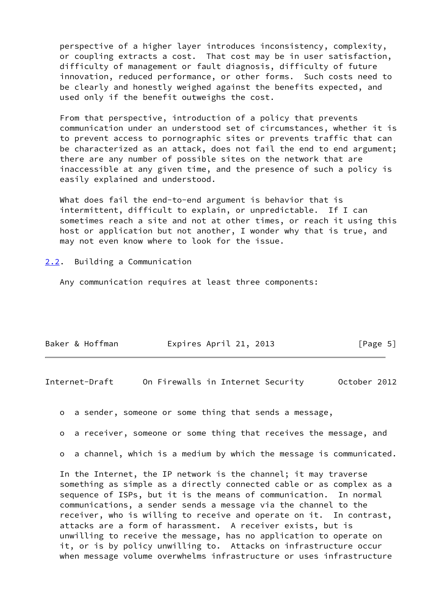perspective of a higher layer introduces inconsistency, complexity, or coupling extracts a cost. That cost may be in user satisfaction, difficulty of management or fault diagnosis, difficulty of future innovation, reduced performance, or other forms. Such costs need to be clearly and honestly weighed against the benefits expected, and used only if the benefit outweighs the cost.

 From that perspective, introduction of a policy that prevents communication under an understood set of circumstances, whether it is to prevent access to pornographic sites or prevents traffic that can be characterized as an attack, does not fail the end to end argument; there are any number of possible sites on the network that are inaccessible at any given time, and the presence of such a policy is easily explained and understood.

 What does fail the end-to-end argument is behavior that is intermittent, difficult to explain, or unpredictable. If I can sometimes reach a site and not at other times, or reach it using this host or application but not another, I wonder why that is true, and may not even know where to look for the issue.

#### <span id="page-5-0"></span>[2.2](#page-5-0). Building a Communication

Any communication requires at least three components:

| Baker & Hoffman | Expires April 21, 2013 | [Page 5] |
|-----------------|------------------------|----------|
|                 |                        |          |

<span id="page-5-1"></span>Internet-Draft On Firewalls in Internet Security October 2012

o a sender, someone or some thing that sends a message,

o a receiver, someone or some thing that receives the message, and

o a channel, which is a medium by which the message is communicated.

 In the Internet, the IP network is the channel; it may traverse something as simple as a directly connected cable or as complex as a sequence of ISPs, but it is the means of communication. In normal communications, a sender sends a message via the channel to the receiver, who is willing to receive and operate on it. In contrast, attacks are a form of harassment. A receiver exists, but is unwilling to receive the message, has no application to operate on it, or is by policy unwilling to. Attacks on infrastructure occur when message volume overwhelms infrastructure or uses infrastructure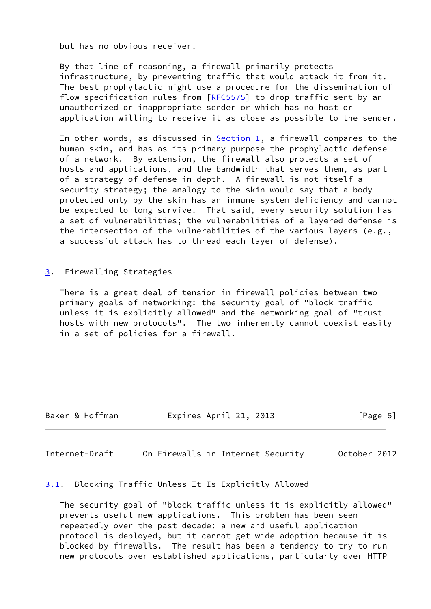but has no obvious receiver.

 By that line of reasoning, a firewall primarily protects infrastructure, by preventing traffic that would attack it from it. The best prophylactic might use a procedure for the dissemination of flow specification rules from [[RFC5575](https://datatracker.ietf.org/doc/pdf/rfc5575)] to drop traffic sent by an unauthorized or inappropriate sender or which has no host or application willing to receive it as close as possible to the sender.

In other words, as discussed in  $Section 1$ , a firewall compares to the human skin, and has as its primary purpose the prophylactic defense of a network. By extension, the firewall also protects a set of hosts and applications, and the bandwidth that serves them, as part of a strategy of defense in depth. A firewall is not itself a security strategy; the analogy to the skin would say that a body protected only by the skin has an immune system deficiency and cannot be expected to long survive. That said, every security solution has a set of vulnerabilities; the vulnerabilities of a layered defense is the intersection of the vulnerabilities of the various layers (e.g., a successful attack has to thread each layer of defense).

<span id="page-6-0"></span>[3](#page-6-0). Firewalling Strategies

 There is a great deal of tension in firewall policies between two primary goals of networking: the security goal of "block traffic unless it is explicitly allowed" and the networking goal of "trust hosts with new protocols". The two inherently cannot coexist easily in a set of policies for a firewall.

Baker & Hoffman Expires April 21, 2013 [Page 6]

<span id="page-6-2"></span>Internet-Draft On Firewalls in Internet Security October 2012

## <span id="page-6-1"></span>[3.1](#page-6-1). Blocking Traffic Unless It Is Explicitly Allowed

 The security goal of "block traffic unless it is explicitly allowed" prevents useful new applications. This problem has been seen repeatedly over the past decade: a new and useful application protocol is deployed, but it cannot get wide adoption because it is blocked by firewalls. The result has been a tendency to try to run new protocols over established applications, particularly over HTTP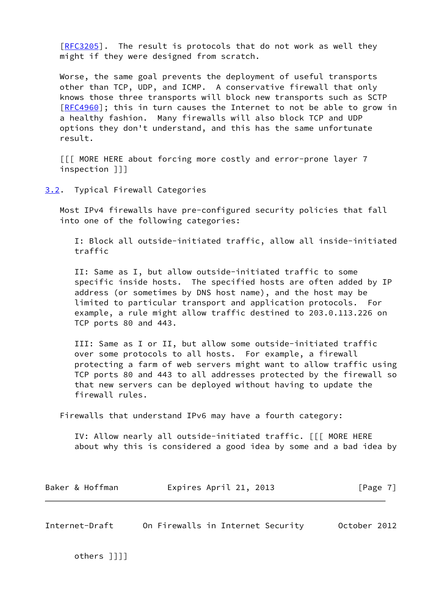[\[RFC3205](https://datatracker.ietf.org/doc/pdf/rfc3205)]. The result is protocols that do not work as well they might if they were designed from scratch.

 Worse, the same goal prevents the deployment of useful transports other than TCP, UDP, and ICMP. A conservative firewall that only knows those three transports will block new transports such as SCTP [\[RFC4960](https://datatracker.ietf.org/doc/pdf/rfc4960)]; this in turn causes the Internet to not be able to grow in a healthy fashion. Many firewalls will also block TCP and UDP options they don't understand, and this has the same unfortunate result.

 [[[ MORE HERE about forcing more costly and error-prone layer 7 inspection ]]]

<span id="page-7-0"></span>[3.2](#page-7-0). Typical Firewall Categories

 Most IPv4 firewalls have pre-configured security policies that fall into one of the following categories:

 I: Block all outside-initiated traffic, allow all inside-initiated traffic

 II: Same as I, but allow outside-initiated traffic to some specific inside hosts. The specified hosts are often added by IP address (or sometimes by DNS host name), and the host may be limited to particular transport and application protocols. For example, a rule might allow traffic destined to 203.0.113.226 on TCP ports 80 and 443.

 III: Same as I or II, but allow some outside-initiated traffic over some protocols to all hosts. For example, a firewall protecting a farm of web servers might want to allow traffic using TCP ports 80 and 443 to all addresses protected by the firewall so that new servers can be deployed without having to update the firewall rules.

Firewalls that understand IPv6 may have a fourth category:

 IV: Allow nearly all outside-initiated traffic. [[[ MORE HERE about why this is considered a good idea by some and a bad idea by

| Baker & Hoffman | Expires April 21, 2013 | [Page 7] |  |
|-----------------|------------------------|----------|--|
|-----------------|------------------------|----------|--|

<span id="page-7-1"></span>Internet-Draft On Firewalls in Internet Security October 2012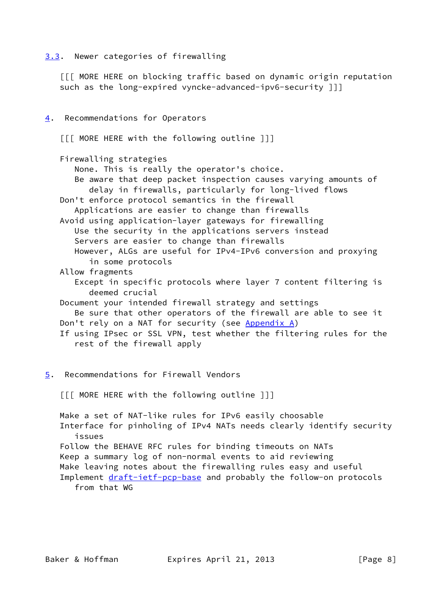## <span id="page-8-0"></span>[3.3](#page-8-0). Newer categories of firewalling

 [[[ MORE HERE on blocking traffic based on dynamic origin reputation such as the long-expired vyncke-advanced-ipv6-security ]]]

## <span id="page-8-1"></span>[4](#page-8-1). Recommendations for Operators

[[[ MORE HERE with the following outline ]]]

Firewalling strategies

None. This is really the operator's choice.

- Be aware that deep packet inspection causes varying amounts of delay in firewalls, particularly for long-lived flows
- Don't enforce protocol semantics in the firewall Applications are easier to change than firewalls
- Avoid using application-layer gateways for firewalling Use the security in the applications servers instead Servers are easier to change than firewalls However, ALGs are useful for IPv4-IPv6 conversion and proxying
	- in some protocols
- Allow fragments
	- Except in specific protocols where layer 7 content filtering is deemed crucial
- Document your intended firewall strategy and settings
- Be sure that other operators of the firewall are able to see it Don't rely on a NAT for security (see [Appendix A\)](#page-10-0)
- If using IPsec or SSL VPN, test whether the filtering rules for the rest of the firewall apply
- <span id="page-8-2"></span>[5](#page-8-2). Recommendations for Firewall Vendors

[[[ MORE HERE with the following outline ]]]

 Make a set of NAT-like rules for IPv6 easily choosable Interface for pinholing of IPv4 NATs needs clearly identify security issues Follow the BEHAVE RFC rules for binding timeouts on NATs Keep a summary log of non-normal events to aid reviewing Make leaving notes about the firewalling rules easy and useful Implement [draft-ietf-pcp-base](https://datatracker.ietf.org/doc/pdf/draft-ietf-pcp-base) and probably the follow-on protocols from that WG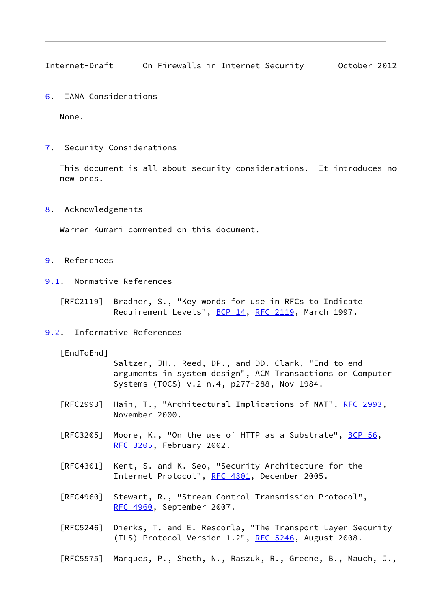<span id="page-9-1"></span>Internet-Draft On Firewalls in Internet Security October 2012

<span id="page-9-0"></span>[6](#page-9-0). IANA Considerations

None.

<span id="page-9-2"></span>[7](#page-9-2). Security Considerations

 This document is all about security considerations. It introduces no new ones.

## <span id="page-9-3"></span>[8](#page-9-3). Acknowledgements

Warren Kumari commented on this document.

- <span id="page-9-4"></span>[9](#page-9-4). References
- <span id="page-9-5"></span>[9.1](#page-9-5). Normative References
	- [RFC2119] Bradner, S., "Key words for use in RFCs to Indicate Requirement Levels", [BCP 14](https://datatracker.ietf.org/doc/pdf/bcp14), [RFC 2119](https://datatracker.ietf.org/doc/pdf/rfc2119), March 1997.

## <span id="page-9-6"></span>[9.2](#page-9-6). Informative References

<span id="page-9-7"></span>[EndToEnd]

 Saltzer, JH., Reed, DP., and DD. Clark, "End-to-end arguments in system design", ACM Transactions on Computer Systems (TOCS) v.2 n.4, p277-288, Nov 1984.

- [RFC2993] Hain, T., "Architectural Implications of NAT", [RFC 2993](https://datatracker.ietf.org/doc/pdf/rfc2993), November 2000.
- [RFC3205] Moore, K., "On the use of HTTP as a Substrate",  $BCP$  56, [RFC 3205,](https://datatracker.ietf.org/doc/pdf/rfc3205) February 2002.
- [RFC4301] Kent, S. and K. Seo, "Security Architecture for the Internet Protocol", [RFC 4301,](https://datatracker.ietf.org/doc/pdf/rfc4301) December 2005.
- [RFC4960] Stewart, R., "Stream Control Transmission Protocol", [RFC 4960,](https://datatracker.ietf.org/doc/pdf/rfc4960) September 2007.
- [RFC5246] Dierks, T. and E. Rescorla, "The Transport Layer Security (TLS) Protocol Version 1.2", [RFC 5246](https://datatracker.ietf.org/doc/pdf/rfc5246), August 2008.
- [RFC5575] Marques, P., Sheth, N., Raszuk, R., Greene, B., Mauch, J.,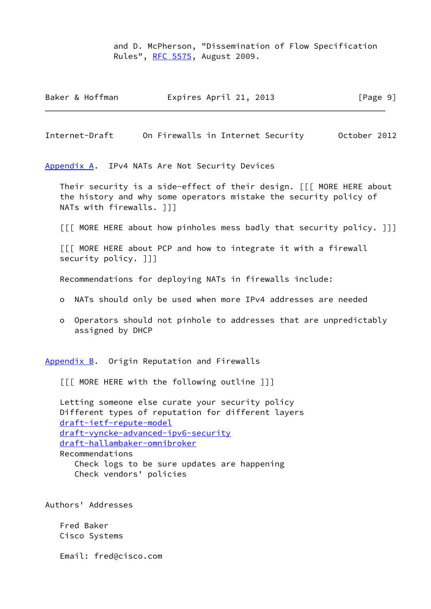and D. McPherson, "Dissemination of Flow Specification Rules", [RFC 5575,](https://datatracker.ietf.org/doc/pdf/rfc5575) August 2009.

| Baker & Hoffman | Expires April 21, 2013 | [Page 9] |
|-----------------|------------------------|----------|
|-----------------|------------------------|----------|

<span id="page-10-1"></span>Internet-Draft On Firewalls in Internet Security October 2012

<span id="page-10-0"></span>[Appendix A.](#page-10-0) IPv4 NATs Are Not Security Devices

 Their security is a side-effect of their design. [[[ MORE HERE about the history and why some operators mistake the security policy of NATs with firewalls. ]]]

[[[ MORE HERE about how pinholes mess badly that security policy. ]]]

 [[[ MORE HERE about PCP and how to integrate it with a firewall security policy. ]]]

Recommendations for deploying NATs in firewalls include:

- o NATs should only be used when more IPv4 addresses are needed
- o Operators should not pinhole to addresses that are unpredictably assigned by DHCP

<span id="page-10-2"></span>[Appendix B.](#page-10-2) Origin Reputation and Firewalls

[[[ MORE HERE with the following outline ]]]

 Letting someone else curate your security policy Different types of reputation for different layers [draft-ietf-repute-model](https://datatracker.ietf.org/doc/pdf/draft-ietf-repute-model) [draft-vyncke-advanced-ipv6-security](https://datatracker.ietf.org/doc/pdf/draft-vyncke-advanced-ipv6-security) [draft-hallambaker-omnibroker](https://datatracker.ietf.org/doc/pdf/draft-hallambaker-omnibroker) Recommendations Check logs to be sure updates are happening Check vendors' policies

Authors' Addresses

 Fred Baker Cisco Systems

Email: fred@cisco.com